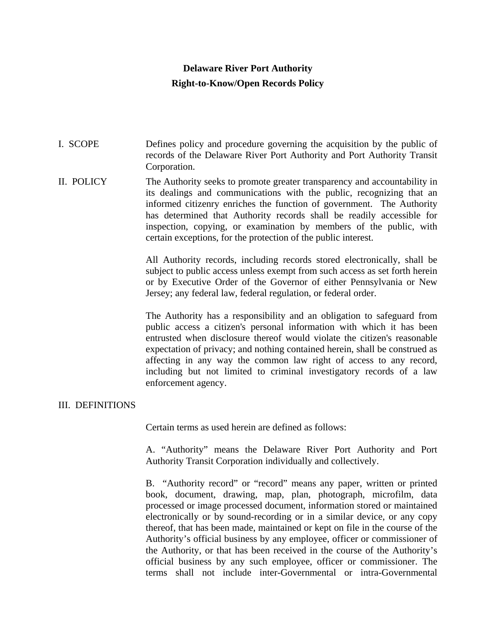# **Delaware River Port Authority Right-to-Know/Open Records Policy**

- I. SCOPE Defines policy and procedure governing the acquisition by the public of records of the Delaware River Port Authority and Port Authority Transit Corporation.
- II. POLICY The Authority seeks to promote greater transparency and accountability in its dealings and communications with the public, recognizing that an informed citizenry enriches the function of government. The Authority has determined that Authority records shall be readily accessible for inspection, copying, or examination by members of the public, with certain exceptions, for the protection of the public interest.

All Authority records, including records stored electronically, shall be subject to public access unless exempt from such access as set forth herein or by Executive Order of the Governor of either Pennsylvania or New Jersey; any federal law, federal regulation, or federal order.

The Authority has a responsibility and an obligation to safeguard from public access a citizen's personal information with which it has been entrusted when disclosure thereof would violate the citizen's reasonable expectation of privacy; and nothing contained herein, shall be construed as affecting in any way the common law right of access to any record, including but not limited to criminal investigatory records of a law enforcement agency.

# III. DEFINITIONS

Certain terms as used herein are defined as follows:

A. "Authority" means the Delaware River Port Authority and Port Authority Transit Corporation individually and collectively.

B. "Authority record" or "record" means any paper, written or printed book, document, drawing, map, plan, photograph, microfilm, data processed or image processed document, information stored or maintained electronically or by sound-recording or in a similar device, or any copy thereof, that has been made, maintained or kept on file in the course of the Authority's official business by any employee, officer or commissioner of the Authority, or that has been received in the course of the Authority's official business by any such employee, officer or commissioner. The terms shall not include inter-Governmental or intra-Governmental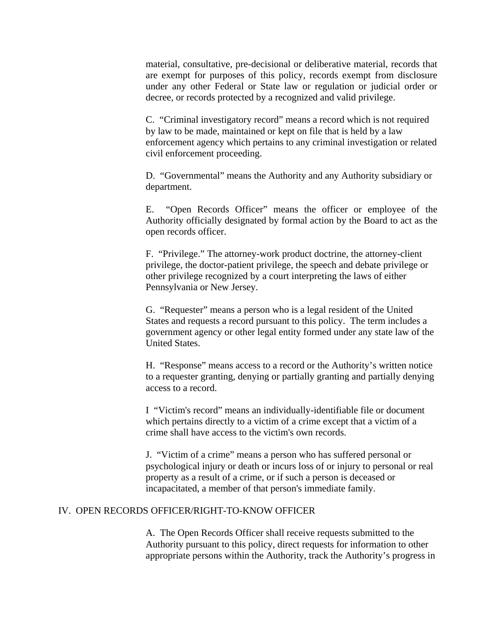material, consultative, pre-decisional or deliberative material, records that are exempt for purposes of this policy, records exempt from disclosure under any other Federal or State law or regulation or judicial order or decree, or records protected by a recognized and valid privilege.

C. "Criminal investigatory record" means a record which is not required by law to be made, maintained or kept on file that is held by a law enforcement agency which pertains to any criminal investigation or related civil enforcement proceeding.

D. "Governmental" means the Authority and any Authority subsidiary or department.

E. "Open Records Officer" means the officer or employee of the Authority officially designated by formal action by the Board to act as the open records officer.

F. "Privilege." The attorney-work product doctrine, the attorney-client privilege, the doctor-patient privilege, the speech and debate privilege or other privilege recognized by a court interpreting the laws of either Pennsylvania or New Jersey.

G. "Requester" means a person who is a legal resident of the United States and requests a record pursuant to this policy. The term includes a government agency or other legal entity formed under any state law of the United States.

H. "Response" means access to a record or the Authority's written notice to a requester granting, denying or partially granting and partially denying access to a record.

I "Victim's record" means an individually-identifiable file or document which pertains directly to a victim of a crime except that a victim of a crime shall have access to the victim's own records.

J. "Victim of a crime" means a person who has suffered personal or psychological injury or death or incurs loss of or injury to personal or real property as a result of a crime, or if such a person is deceased or incapacitated, a member of that person's immediate family.

#### IV. OPEN RECORDS OFFICER/RIGHT-TO-KNOW OFFICER

A. The Open Records Officer shall receive requests submitted to the Authority pursuant to this policy, direct requests for information to other appropriate persons within the Authority, track the Authority's progress in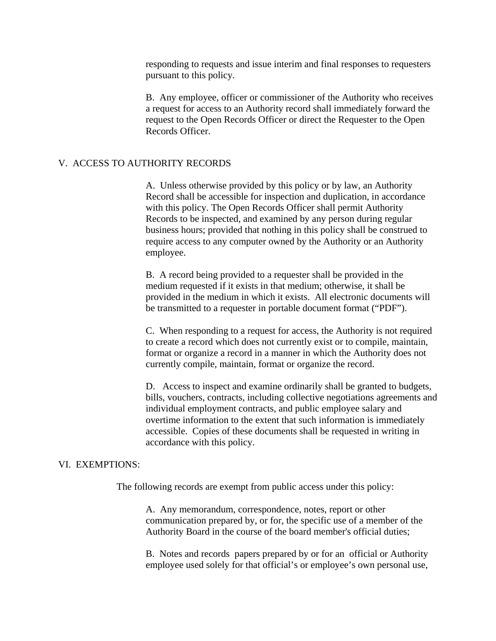responding to requests and issue interim and final responses to requesters pursuant to this policy.

B. Any employee, officer or commissioner of the Authority who receives a request for access to an Authority record shall immediately forward the request to the Open Records Officer or direct the Requester to the Open Records Officer.

### V. ACCESS TO AUTHORITY RECORDS

A. Unless otherwise provided by this policy or by law, an Authority Record shall be accessible for inspection and duplication, in accordance with this policy. The Open Records Officer shall permit Authority Records to be inspected, and examined by any person during regular business hours; provided that nothing in this policy shall be construed to require access to any computer owned by the Authority or an Authority employee.

B. A record being provided to a requester shall be provided in the medium requested if it exists in that medium; otherwise, it shall be provided in the medium in which it exists. All electronic documents will be transmitted to a requester in portable document format ("PDF").

C. When responding to a request for access, the Authority is not required to create a record which does not currently exist or to compile, maintain, format or organize a record in a manner in which the Authority does not currently compile, maintain, format or organize the record.

D. Access to inspect and examine ordinarily shall be granted to budgets, bills, vouchers, contracts, including collective negotiations agreements and individual employment contracts, and public employee salary and overtime information to the extent that such information is immediately accessible. Copies of these documents shall be requested in writing in accordance with this policy.

### VI. EXEMPTIONS:

The following records are exempt from public access under this policy:

A. Any memorandum, correspondence, notes, report or other communication prepared by, or for, the specific use of a member of the Authority Board in the course of the board member's official duties;

B. Notes and records papers prepared by or for an official or Authority employee used solely for that official's or employee's own personal use,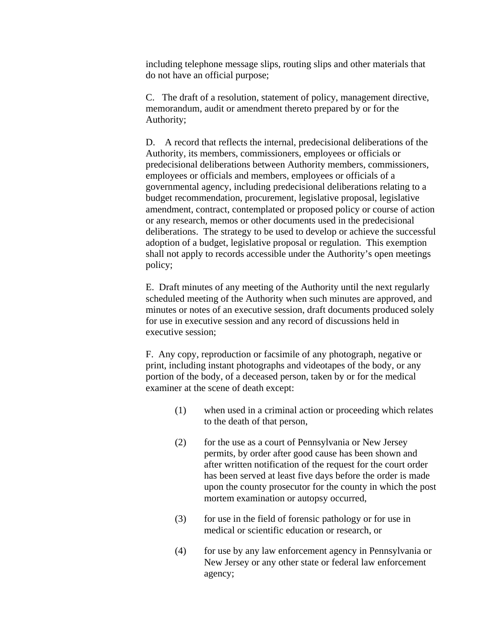including telephone message slips, routing slips and other materials that do not have an official purpose;

C. The draft of a resolution, statement of policy, management directive, memorandum, audit or amendment thereto prepared by or for the Authority;

D. A record that reflects the internal, predecisional deliberations of the Authority, its members, commissioners, employees or officials or predecisional deliberations between Authority members, commissioners, employees or officials and members, employees or officials of a governmental agency, including predecisional deliberations relating to a budget recommendation, procurement, legislative proposal, legislative amendment, contract, contemplated or proposed policy or course of action or any research, memos or other documents used in the predecisional deliberations. The strategy to be used to develop or achieve the successful adoption of a budget, legislative proposal or regulation. This exemption shall not apply to records accessible under the Authority's open meetings policy;

E. Draft minutes of any meeting of the Authority until the next regularly scheduled meeting of the Authority when such minutes are approved, and minutes or notes of an executive session, draft documents produced solely for use in executive session and any record of discussions held in executive session;

F. Any copy, reproduction or facsimile of any photograph, negative or print, including instant photographs and videotapes of the body, or any portion of the body, of a deceased person, taken by or for the medical examiner at the scene of death except:

- (1) when used in a criminal action or proceeding which relates to the death of that person,
- (2) for the use as a court of Pennsylvania or New Jersey permits, by order after good cause has been shown and after written notification of the request for the court order has been served at least five days before the order is made upon the county prosecutor for the county in which the post mortem examination or autopsy occurred,
- (3) for use in the field of forensic pathology or for use in medical or scientific education or research, or
- (4) for use by any law enforcement agency in Pennsylvania or New Jersey or any other state or federal law enforcement agency;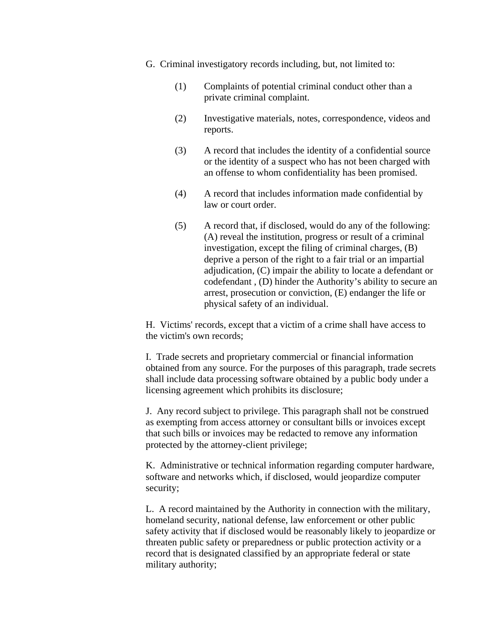- G. Criminal investigatory records including, but, not limited to:
	- (1) Complaints of potential criminal conduct other than a private criminal complaint.
	- (2) Investigative materials, notes, correspondence, videos and reports.
	- (3) A record that includes the identity of a confidential source or the identity of a suspect who has not been charged with an offense to whom confidentiality has been promised.
	- (4) A record that includes information made confidential by law or court order.
	- (5) A record that, if disclosed, would do any of the following: (A) reveal the institution, progress or result of a criminal investigation, except the filing of criminal charges, (B) deprive a person of the right to a fair trial or an impartial adjudication, (C) impair the ability to locate a defendant or codefendant , (D) hinder the Authority's ability to secure an arrest, prosecution or conviction, (E) endanger the life or physical safety of an individual.

H. Victims' records, except that a victim of a crime shall have access to the victim's own records;

I. Trade secrets and proprietary commercial or financial information obtained from any source. For the purposes of this paragraph, trade secrets shall include data processing software obtained by a public body under a licensing agreement which prohibits its disclosure;

J. Any record subject to privilege. This paragraph shall not be construed as exempting from access attorney or consultant bills or invoices except that such bills or invoices may be redacted to remove any information protected by the attorney-client privilege;

K. Administrative or technical information regarding computer hardware, software and networks which, if disclosed, would jeopardize computer security;

L. A record maintained by the Authority in connection with the military, homeland security, national defense, law enforcement or other public safety activity that if disclosed would be reasonably likely to jeopardize or threaten public safety or preparedness or public protection activity or a record that is designated classified by an appropriate federal or state military authority;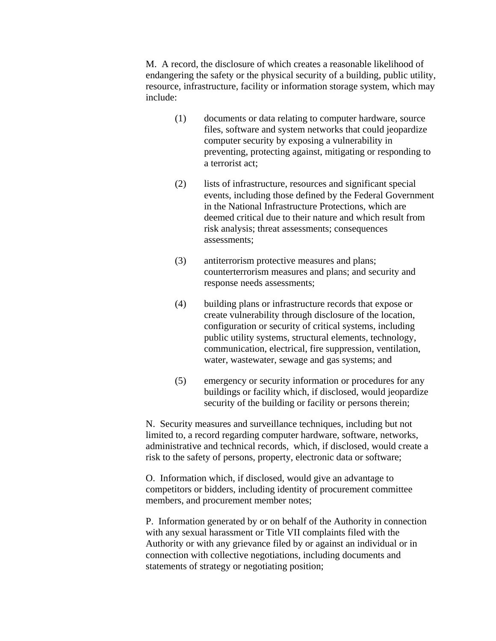M. A record, the disclosure of which creates a reasonable likelihood of endangering the safety or the physical security of a building, public utility, resource, infrastructure, facility or information storage system, which may include:

- (1) documents or data relating to computer hardware, source files, software and system networks that could jeopardize computer security by exposing a vulnerability in preventing, protecting against, mitigating or responding to a terrorist act;
- (2) lists of infrastructure, resources and significant special events, including those defined by the Federal Government in the National Infrastructure Protections, which are deemed critical due to their nature and which result from risk analysis; threat assessments; consequences assessments;
- (3) antiterrorism protective measures and plans; counterterrorism measures and plans; and security and response needs assessments;
- (4) building plans or infrastructure records that expose or create vulnerability through disclosure of the location, configuration or security of critical systems, including public utility systems, structural elements, technology, communication, electrical, fire suppression, ventilation, water, wastewater, sewage and gas systems; and
- (5) emergency or security information or procedures for any buildings or facility which, if disclosed, would jeopardize security of the building or facility or persons therein;

N. Security measures and surveillance techniques, including but not limited to, a record regarding computer hardware, software, networks, administrative and technical records, which, if disclosed, would create a risk to the safety of persons, property, electronic data or software;

O. Information which, if disclosed, would give an advantage to competitors or bidders, including identity of procurement committee members, and procurement member notes;

P. Information generated by or on behalf of the Authority in connection with any sexual harassment or Title VII complaints filed with the Authority or with any grievance filed by or against an individual or in connection with collective negotiations, including documents and statements of strategy or negotiating position;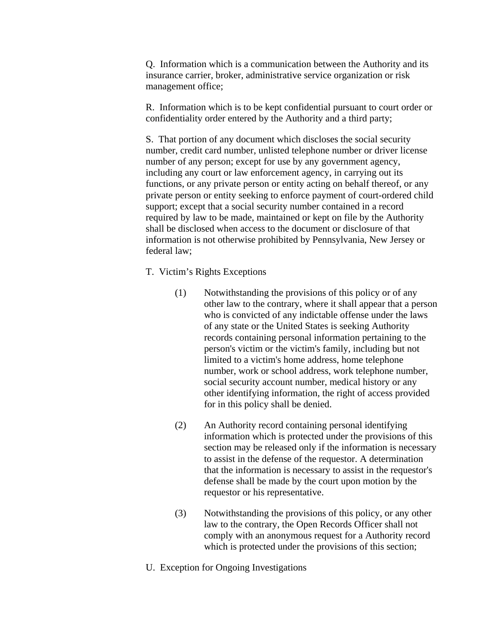Q. Information which is a communication between the Authority and its insurance carrier, broker, administrative service organization or risk management office;

R. Information which is to be kept confidential pursuant to court order or confidentiality order entered by the Authority and a third party;

S. That portion of any document which discloses the social security number, credit card number, unlisted telephone number or driver license number of any person; except for use by any government agency, including any court or law enforcement agency, in carrying out its functions, or any private person or entity acting on behalf thereof, or any private person or entity seeking to enforce payment of court-ordered child support; except that a social security number contained in a record required by law to be made, maintained or kept on file by the Authority shall be disclosed when access to the document or disclosure of that information is not otherwise prohibited by Pennsylvania, New Jersey or federal law;

- T. Victim's Rights Exceptions
	- (1) Notwithstanding the provisions of this policy or of any other law to the contrary, where it shall appear that a person who is convicted of any indictable offense under the laws of any state or the United States is seeking Authority records containing personal information pertaining to the person's victim or the victim's family, including but not limited to a victim's home address, home telephone number, work or school address, work telephone number, social security account number, medical history or any other identifying information, the right of access provided for in this policy shall be denied.
	- (2) An Authority record containing personal identifying information which is protected under the provisions of this section may be released only if the information is necessary to assist in the defense of the requestor. A determination that the information is necessary to assist in the requestor's defense shall be made by the court upon motion by the requestor or his representative.
	- (3) Notwithstanding the provisions of this policy, or any other law to the contrary, the Open Records Officer shall not comply with an anonymous request for a Authority record which is protected under the provisions of this section;
- U. Exception for Ongoing Investigations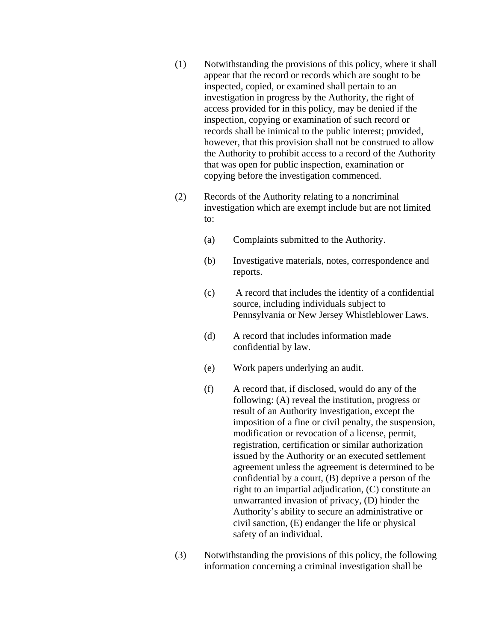- (1) Notwithstanding the provisions of this policy, where it shall appear that the record or records which are sought to be inspected, copied, or examined shall pertain to an investigation in progress by the Authority, the right of access provided for in this policy, may be denied if the inspection, copying or examination of such record or records shall be inimical to the public interest; provided, however, that this provision shall not be construed to allow the Authority to prohibit access to a record of the Authority that was open for public inspection, examination or copying before the investigation commenced.
- (2) Records of the Authority relating to a noncriminal investigation which are exempt include but are not limited to:
	- (a) Complaints submitted to the Authority.
	- (b) Investigative materials, notes, correspondence and reports.
	- (c) A record that includes the identity of a confidential source, including individuals subject to Pennsylvania or New Jersey Whistleblower Laws.
	- (d) A record that includes information made confidential by law.
	- (e) Work papers underlying an audit.
	- (f) A record that, if disclosed, would do any of the following: (A) reveal the institution, progress or result of an Authority investigation, except the imposition of a fine or civil penalty, the suspension, modification or revocation of a license, permit, registration, certification or similar authorization issued by the Authority or an executed settlement agreement unless the agreement is determined to be confidential by a court, (B) deprive a person of the right to an impartial adjudication, (C) constitute an unwarranted invasion of privacy, (D) hinder the Authority's ability to secure an administrative or civil sanction, (E) endanger the life or physical safety of an individual.
- (3) Notwithstanding the provisions of this policy, the following information concerning a criminal investigation shall be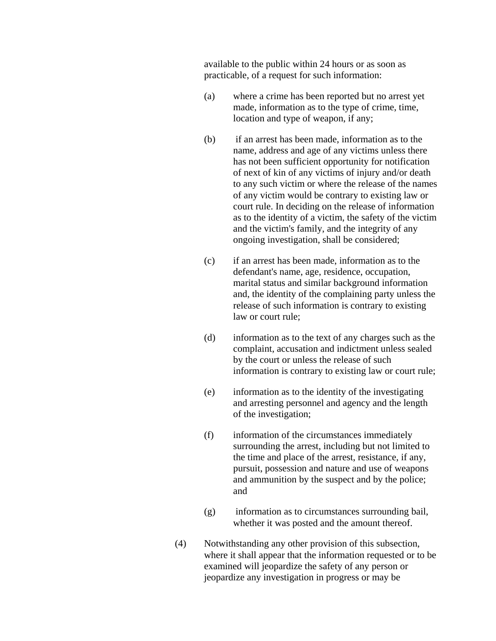available to the public within 24 hours or as soon as practicable, of a request for such information:

- (a) where a crime has been reported but no arrest yet made, information as to the type of crime, time, location and type of weapon, if any;
- (b) if an arrest has been made, information as to the name, address and age of any victims unless there has not been sufficient opportunity for notification of next of kin of any victims of injury and/or death to any such victim or where the release of the names of any victim would be contrary to existing law or court rule. In deciding on the release of information as to the identity of a victim, the safety of the victim and the victim's family, and the integrity of any ongoing investigation, shall be considered;
- (c) if an arrest has been made, information as to the defendant's name, age, residence, occupation, marital status and similar background information and, the identity of the complaining party unless the release of such information is contrary to existing law or court rule;
- (d) information as to the text of any charges such as the complaint, accusation and indictment unless sealed by the court or unless the release of such information is contrary to existing law or court rule;
- (e) information as to the identity of the investigating and arresting personnel and agency and the length of the investigation;
- (f) information of the circumstances immediately surrounding the arrest, including but not limited to the time and place of the arrest, resistance, if any, pursuit, possession and nature and use of weapons and ammunition by the suspect and by the police; and
- (g) information as to circumstances surrounding bail, whether it was posted and the amount thereof.
- (4) Notwithstanding any other provision of this subsection, where it shall appear that the information requested or to be examined will jeopardize the safety of any person or jeopardize any investigation in progress or may be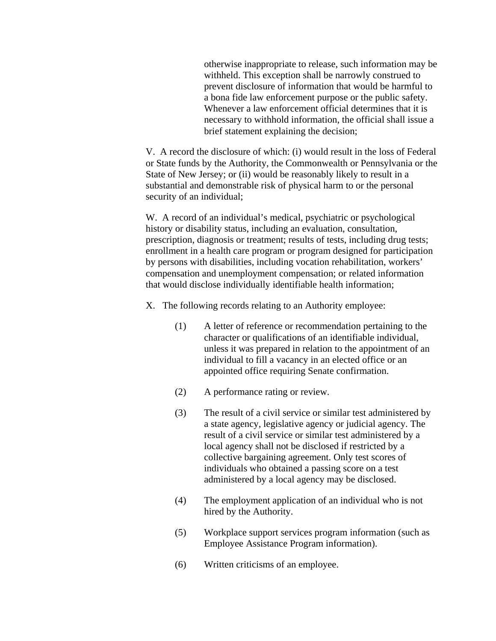otherwise inappropriate to release, such information may be withheld. This exception shall be narrowly construed to prevent disclosure of information that would be harmful to a bona fide law enforcement purpose or the public safety. Whenever a law enforcement official determines that it is necessary to withhold information, the official shall issue a brief statement explaining the decision;

V. A record the disclosure of which: (i) would result in the loss of Federal or State funds by the Authority, the Commonwealth or Pennsylvania or the State of New Jersey; or (ii) would be reasonably likely to result in a substantial and demonstrable risk of physical harm to or the personal security of an individual;

W. A record of an individual's medical, psychiatric or psychological history or disability status, including an evaluation, consultation, prescription, diagnosis or treatment; results of tests, including drug tests; enrollment in a health care program or program designed for participation by persons with disabilities, including vocation rehabilitation, workers' compensation and unemployment compensation; or related information that would disclose individually identifiable health information;

X. The following records relating to an Authority employee:

- (1) A letter of reference or recommendation pertaining to the character or qualifications of an identifiable individual, unless it was prepared in relation to the appointment of an individual to fill a vacancy in an elected office or an appointed office requiring Senate confirmation.
- (2) A performance rating or review.
- (3) The result of a civil service or similar test administered by a state agency, legislative agency or judicial agency. The result of a civil service or similar test administered by a local agency shall not be disclosed if restricted by a collective bargaining agreement. Only test scores of individuals who obtained a passing score on a test administered by a local agency may be disclosed.
- (4) The employment application of an individual who is not hired by the Authority.
- (5) Workplace support services program information (such as Employee Assistance Program information).
- (6) Written criticisms of an employee.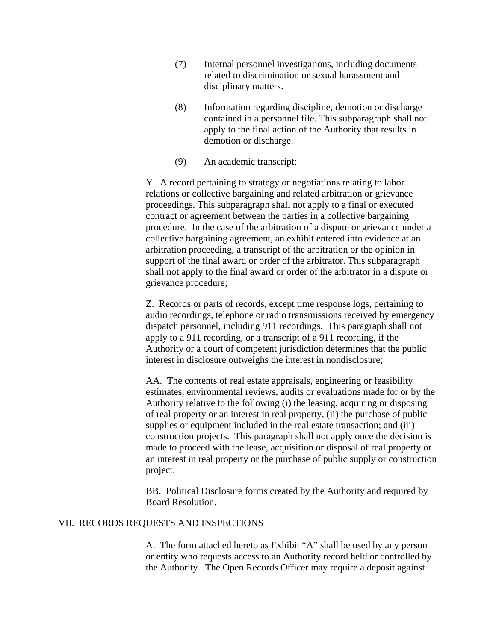- (7) Internal personnel investigations, including documents related to discrimination or sexual harassment and disciplinary matters.
- (8) Information regarding discipline, demotion or discharge contained in a personnel file. This subparagraph shall not apply to the final action of the Authority that results in demotion or discharge.
- (9) An academic transcript;

Y. A record pertaining to strategy or negotiations relating to labor relations or collective bargaining and related arbitration or grievance proceedings. This subparagraph shall not apply to a final or executed contract or agreement between the parties in a collective bargaining procedure. In the case of the arbitration of a dispute or grievance under a collective bargaining agreement, an exhibit entered into evidence at an arbitration proceeding, a transcript of the arbitration or the opinion in support of the final award or order of the arbitrator. This subparagraph shall not apply to the final award or order of the arbitrator in a dispute or grievance procedure;

Z. Records or parts of records, except time response logs, pertaining to audio recordings, telephone or radio transmissions received by emergency dispatch personnel, including 911 recordings. This paragraph shall not apply to a 911 recording, or a transcript of a 911 recording, if the Authority or a court of competent jurisdiction determines that the public interest in disclosure outweighs the interest in nondisclosure;

AA. The contents of real estate appraisals, engineering or feasibility estimates, environmental reviews, audits or evaluations made for or by the Authority relative to the following (i) the leasing, acquiring or disposing of real property or an interest in real property, (ii) the purchase of public supplies or equipment included in the real estate transaction; and (iii) construction projects. This paragraph shall not apply once the decision is made to proceed with the lease, acquisition or disposal of real property or an interest in real property or the purchase of public supply or construction project.

BB. Political Disclosure forms created by the Authority and required by Board Resolution.

# VII. RECORDS REQUESTS AND INSPECTIONS

A. The form attached hereto as Exhibit "A" shall be used by any person or entity who requests access to an Authority record held or controlled by the Authority. The Open Records Officer may require a deposit against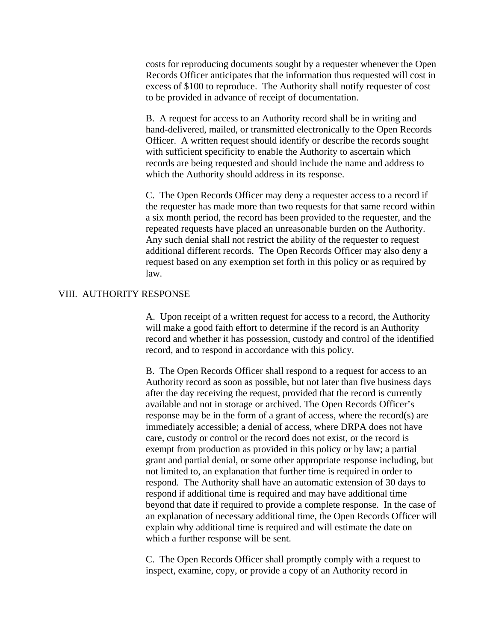costs for reproducing documents sought by a requester whenever the Open Records Officer anticipates that the information thus requested will cost in excess of \$100 to reproduce. The Authority shall notify requester of cost to be provided in advance of receipt of documentation.

B. A request for access to an Authority record shall be in writing and hand-delivered, mailed, or transmitted electronically to the Open Records Officer. A written request should identify or describe the records sought with sufficient specificity to enable the Authority to ascertain which records are being requested and should include the name and address to which the Authority should address in its response.

C. The Open Records Officer may deny a requester access to a record if the requester has made more than two requests for that same record within a six month period, the record has been provided to the requester, and the repeated requests have placed an unreasonable burden on the Authority. Any such denial shall not restrict the ability of the requester to request additional different records. The Open Records Officer may also deny a request based on any exemption set forth in this policy or as required by law.

# VIII. AUTHORITY RESPONSE

A. Upon receipt of a written request for access to a record, the Authority will make a good faith effort to determine if the record is an Authority record and whether it has possession, custody and control of the identified record, and to respond in accordance with this policy.

B. The Open Records Officer shall respond to a request for access to an Authority record as soon as possible, but not later than five business days after the day receiving the request, provided that the record is currently available and not in storage or archived. The Open Records Officer's response may be in the form of a grant of access, where the record(s) are immediately accessible; a denial of access, where DRPA does not have care, custody or control or the record does not exist, or the record is exempt from production as provided in this policy or by law; a partial grant and partial denial, or some other appropriate response including, but not limited to, an explanation that further time is required in order to respond. The Authority shall have an automatic extension of 30 days to respond if additional time is required and may have additional time beyond that date if required to provide a complete response. In the case of an explanation of necessary additional time, the Open Records Officer will explain why additional time is required and will estimate the date on which a further response will be sent.

C. The Open Records Officer shall promptly comply with a request to inspect, examine, copy, or provide a copy of an Authority record in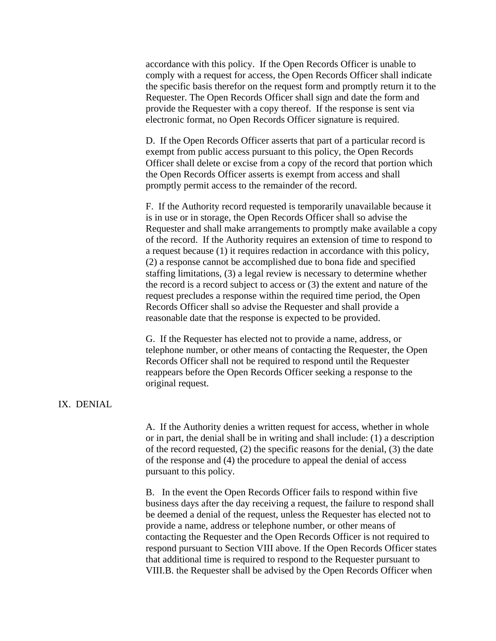accordance with this policy. If the Open Records Officer is unable to comply with a request for access, the Open Records Officer shall indicate the specific basis therefor on the request form and promptly return it to the Requester. The Open Records Officer shall sign and date the form and provide the Requester with a copy thereof. If the response is sent via electronic format, no Open Records Officer signature is required.

D. If the Open Records Officer asserts that part of a particular record is exempt from public access pursuant to this policy, the Open Records Officer shall delete or excise from a copy of the record that portion which the Open Records Officer asserts is exempt from access and shall promptly permit access to the remainder of the record.

F. If the Authority record requested is temporarily unavailable because it is in use or in storage, the Open Records Officer shall so advise the Requester and shall make arrangements to promptly make available a copy of the record. If the Authority requires an extension of time to respond to a request because (1) it requires redaction in accordance with this policy, (2) a response cannot be accomplished due to bona fide and specified staffing limitations, (3) a legal review is necessary to determine whether the record is a record subject to access or (3) the extent and nature of the request precludes a response within the required time period, the Open Records Officer shall so advise the Requester and shall provide a reasonable date that the response is expected to be provided.

G. If the Requester has elected not to provide a name, address, or telephone number, or other means of contacting the Requester, the Open Records Officer shall not be required to respond until the Requester reappears before the Open Records Officer seeking a response to the original request.

### IX. DENIAL

A. If the Authority denies a written request for access, whether in whole or in part, the denial shall be in writing and shall include: (1) a description of the record requested, (2) the specific reasons for the denial, (3) the date of the response and (4) the procedure to appeal the denial of access pursuant to this policy.

B. In the event the Open Records Officer fails to respond within five business days after the day receiving a request, the failure to respond shall be deemed a denial of the request, unless the Requester has elected not to provide a name, address or telephone number, or other means of contacting the Requester and the Open Records Officer is not required to respond pursuant to Section VIII above. If the Open Records Officer states that additional time is required to respond to the Requester pursuant to VIII.B. the Requester shall be advised by the Open Records Officer when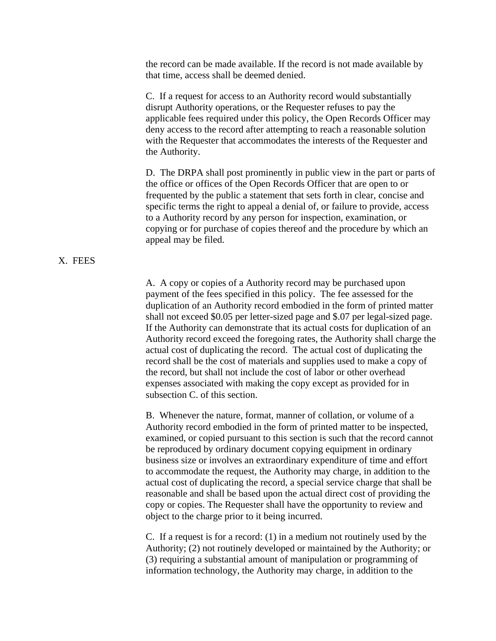the record can be made available. If the record is not made available by that time, access shall be deemed denied.

C. If a request for access to an Authority record would substantially disrupt Authority operations, or the Requester refuses to pay the applicable fees required under this policy, the Open Records Officer may deny access to the record after attempting to reach a reasonable solution with the Requester that accommodates the interests of the Requester and the Authority.

D. The DRPA shall post prominently in public view in the part or parts of the office or offices of the Open Records Officer that are open to or frequented by the public a statement that sets forth in clear, concise and specific terms the right to appeal a denial of, or failure to provide, access to a Authority record by any person for inspection, examination, or copying or for purchase of copies thereof and the procedure by which an appeal may be filed.

# X. FEES

A. A copy or copies of a Authority record may be purchased upon payment of the fees specified in this policy. The fee assessed for the duplication of an Authority record embodied in the form of printed matter shall not exceed \$0.05 per letter-sized page and \$.07 per legal-sized page. If the Authority can demonstrate that its actual costs for duplication of an Authority record exceed the foregoing rates, the Authority shall charge the actual cost of duplicating the record. The actual cost of duplicating the record shall be the cost of materials and supplies used to make a copy of the record, but shall not include the cost of labor or other overhead expenses associated with making the copy except as provided for in subsection C. of this section.

B. Whenever the nature, format, manner of collation, or volume of a Authority record embodied in the form of printed matter to be inspected, examined, or copied pursuant to this section is such that the record cannot be reproduced by ordinary document copying equipment in ordinary business size or involves an extraordinary expenditure of time and effort to accommodate the request, the Authority may charge, in addition to the actual cost of duplicating the record, a special service charge that shall be reasonable and shall be based upon the actual direct cost of providing the copy or copies. The Requester shall have the opportunity to review and object to the charge prior to it being incurred.

C. If a request is for a record: (1) in a medium not routinely used by the Authority; (2) not routinely developed or maintained by the Authority; or (3) requiring a substantial amount of manipulation or programming of information technology, the Authority may charge, in addition to the